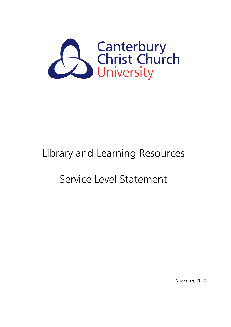

# Library and Learning Resources

# Service Level Statement

November, 2020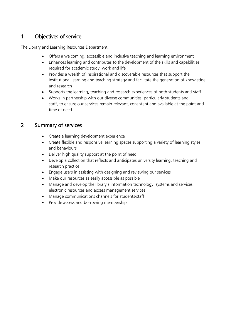## 1 Objectives of service

The Library and Learning Resources Department:

- Offers a welcoming, accessible and inclusive teaching and learning environment
- Enhances learning and contributes to the development of the skills and capabilities required for academic study, work and life
- Provides a wealth of inspirational and discoverable resources that support the institutional learning and teaching strategy and facilitate the generation of knowledge and research
- Supports the learning, teaching and research experiences of both students and staff
- Works in partnership with our diverse communities, particularly students and staff, to ensure our services remain relevant, consistent and available at the point and time of need

#### 2 Summary of services

- Create a learning development experience
- Create flexible and responsive learning spaces supporting a variety of learning styles and behaviours
- Deliver high quality support at the point of need
- Develop a collection that reflects and anticipates university learning, teaching and research practice
- Engage users in assisting with designing and reviewing our services
- Make our resources as easily accessible as possible
- Manage and develop the library's information technology, systems and services, electronic resources and access management services
- Manage communications channels for students/staff
- Provide access and borrowing membership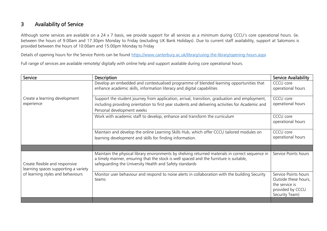### 3 Availability of Service

Although some services are available on a 24 x 7 basis, we provide support for all services as a minimum during CCCU's core operational hours. (ie. between the hours of 9.00am and 17.30pm Monday to Friday (excluding UK Bank Holidays). Due to current staff availability, support at Salomons is provided between the hours of 10:00am and 15:00pm Monday to Friday

Details of opening hours for the Service Points can be found<https://www.canterbury.ac.uk/library/using-the-library/opening-hours.aspx>

Full range of services are available remotely/ digitally with online help and support available during core operational hours.

| Service                                                                                                     | <b>Description</b>                                                                                                                                                                                                                                    | <b>Service Availability</b>                                                                          |
|-------------------------------------------------------------------------------------------------------------|-------------------------------------------------------------------------------------------------------------------------------------------------------------------------------------------------------------------------------------------------------|------------------------------------------------------------------------------------------------------|
|                                                                                                             | Develop an embedded and contextualised programme of blended learning opportunities that                                                                                                                                                               | CCCU core                                                                                            |
|                                                                                                             | enhance academic skills, information literacy and digital capabilities                                                                                                                                                                                | operational hours                                                                                    |
|                                                                                                             |                                                                                                                                                                                                                                                       |                                                                                                      |
| Create a learning development                                                                               | Support the student journey from application, arrival, transition, graduation and employment,                                                                                                                                                         | CCCU core                                                                                            |
| experience                                                                                                  | including providing orientation to first year students and delivering activities for Academic and                                                                                                                                                     | operational hours                                                                                    |
|                                                                                                             | Personal development weeks                                                                                                                                                                                                                            |                                                                                                      |
|                                                                                                             | Work with academic staff to develop, enhance and transform the curriculum                                                                                                                                                                             | CCCU core<br>operational hours                                                                       |
|                                                                                                             |                                                                                                                                                                                                                                                       |                                                                                                      |
|                                                                                                             | Maintain and develop the online Learning Skills Hub, which offer CCCU tailored modules on                                                                                                                                                             | CCCU core                                                                                            |
|                                                                                                             | learning development and skills for finding information.                                                                                                                                                                                              | operational hours                                                                                    |
|                                                                                                             |                                                                                                                                                                                                                                                       |                                                                                                      |
| Create flexible and responsive<br>learning spaces supporting a variety<br>of learning styles and behaviours | Maintain the physical library environments by shelving returned materials in correct sequence in<br>a timely manner, ensuring that the stock is well spaced and the furniture is suitable,<br>safeguarding the University Health and Safety standards | Service Points hours                                                                                 |
|                                                                                                             | Monitor user behaviour and respond to noise alerts in collaboration with the building Security<br>teams                                                                                                                                               | Service Points hours<br>Outside these hours,<br>the service is<br>provided by CCCU<br>Security Team) |
|                                                                                                             |                                                                                                                                                                                                                                                       |                                                                                                      |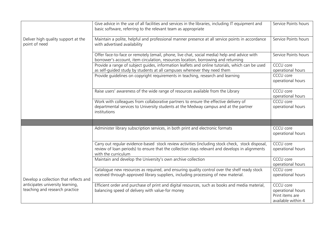|                                                                    | Give advice in the use of all facilities and services in the libraries, including IT equipment and<br>basic software, referring to the relevant team as appropriate                                                        | Service Points hours                                                    |
|--------------------------------------------------------------------|----------------------------------------------------------------------------------------------------------------------------------------------------------------------------------------------------------------------------|-------------------------------------------------------------------------|
| Deliver high quality support at the<br>point of need               | Maintain a polite, helpful and professional manner presence at all service points in accordance<br>with advertised availability                                                                                            | Service Points hours                                                    |
|                                                                    | Offer face-to-face or remotely (email, phone, live chat, social media) help and advice with<br>borrower's account, item circulation, resources location, borrowing and returning                                           | Service Points hours                                                    |
|                                                                    | Provide a range of subject guides, information leaflets and online tutorials, which can be used<br>as self-guided study by students at all campuses whenever they need them                                                | CCCU core<br>operational hours                                          |
|                                                                    | Provide guidelines on copyright requirements in teaching, research and learning                                                                                                                                            | <b>CCCU</b> core<br>operational hours                                   |
|                                                                    | Raise users' awareness of the wide range of resources available from the Library                                                                                                                                           | CCCU core<br>operational hours                                          |
|                                                                    | Work with colleagues from collaborative partners to ensure the effective delivery of<br>departmental services to University students at the Medway campus and at the partner<br>institutions                               | CCCU core<br>operational hours                                          |
|                                                                    |                                                                                                                                                                                                                            |                                                                         |
|                                                                    | Administer library subscription services, in both print and electronic formats                                                                                                                                             | CCCU core<br>operational hours                                          |
|                                                                    | Carry out regular evidence-based stock review activities (including stock check, stock disposal,<br>review of loan periods) to ensure that the collection stays relevant and develops in alignments<br>with the curriculum | CCCU core<br>operational hours                                          |
|                                                                    | Maintain and develop the University's own archive collection                                                                                                                                                               | <b>CCCU</b> core<br>operational hours                                   |
| Develop a collection that reflects and                             | Catalogue new resources as required, and ensuring quality control over the shelf ready stock<br>received through approved library suppliers, including processing of new material.                                         | CCCU core<br>operational hours                                          |
| anticipates university learning,<br>teaching and research practice | Efficient order and purchase of print and digital resources, such as books and media material,<br>balancing speed of delivery with value-for money                                                                         | CCCU core<br>operational hours<br>Print items are<br>available within 4 |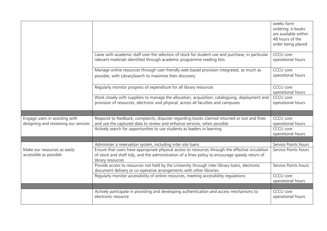|                                                                        |                                                                                                                                                                                                                           | weeks form<br>ordering. e-books<br>are available within<br>48 hours of the<br>order being placed |
|------------------------------------------------------------------------|---------------------------------------------------------------------------------------------------------------------------------------------------------------------------------------------------------------------------|--------------------------------------------------------------------------------------------------|
|                                                                        | Liaise with academic staff over the selection of stock for student use and purchase, in particular<br>relevant materials identified through academic programme reading lists.                                             | CCCU core<br>operational hours                                                                   |
|                                                                        | Manage online resources through user-friendly web-based provision integrated, as much as<br>possible, with LibrarySearch to maximise their discovery                                                                      | CCCU core<br>operational hours                                                                   |
|                                                                        | Regularly monitor progress of expenditure for all library resources                                                                                                                                                       | CCCU core<br>operational hours                                                                   |
|                                                                        | Work closely with suppliers to manage the allocation, acquisition, cataloguing, deployment and<br>provision of resources, electronic and physical, across all faculties and campuses                                      | CCCU core<br>operational hours                                                                   |
|                                                                        |                                                                                                                                                                                                                           |                                                                                                  |
| Engage users in assisting with<br>designing and reviewing our services | Respond to feedback, complaints, disputes regarding books claimed returned or lost and fines<br>and use the captured data to review and enhance services, when possible                                                   | CCCU core<br>operational hours                                                                   |
|                                                                        | Actively search for opportunities to use students as leaders in learning                                                                                                                                                  | CCCU core<br>operational hours                                                                   |
|                                                                        |                                                                                                                                                                                                                           |                                                                                                  |
|                                                                        | Administer a reservation system, including inter-site loans                                                                                                                                                               | Service Points hours                                                                             |
| Make our resources as easily<br>accessible as possible                 | Ensure that users have appropriate physical access to resources through the effective circulation<br>of stock and shelf tidy, and the administration of a fines policy to encourage speedy return of<br>library resources | Service Points hours                                                                             |
|                                                                        | Provide access to resources not held by the University through inter-library loans, electronic<br>document delivery or co-operative arrangements with other libraries.                                                    | Service Points hours                                                                             |
|                                                                        | Regularly monitor accessibility of online resources, meeting accessibility regulations                                                                                                                                    | CCCU core<br>operational hours                                                                   |
|                                                                        |                                                                                                                                                                                                                           |                                                                                                  |
|                                                                        | Actively participate in providing and developing authentication and access mechanisms to<br>electronic resource                                                                                                           | CCCU core<br>operational hours                                                                   |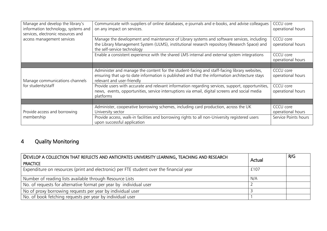| Manage and develop the library's<br>information technology, systems and<br>services, electronic resources and | Communicate with suppliers of online databases, e-journals and e-books, and advise colleagues<br>on any impact on services.                                                                                                | CCCU core<br>operational hours |
|---------------------------------------------------------------------------------------------------------------|----------------------------------------------------------------------------------------------------------------------------------------------------------------------------------------------------------------------------|--------------------------------|
| access management services                                                                                    | Manage the development and maintenance of Library systems and software services, including<br>the Library Management System (ULMS), institutional research repository (Research Space) and<br>the self-service technology  | CCCU core<br>operational hours |
|                                                                                                               | Enable a consistent experience with the shared LMS internal and external system integrations                                                                                                                               | CCCU core<br>operational hours |
|                                                                                                               |                                                                                                                                                                                                                            |                                |
| Manage communications channels<br>for students/staff                                                          | Administer and manage the content for the student-facing and staff-facing library websites,<br>ensuring that up-to date information is published and that the information architecture stays<br>relevant and user-friendly | CCCU core<br>operational hours |
|                                                                                                               | Provide users with accurate and relevant information regarding services, support, opportunities,<br>news, events, opportunities, service interruptions via email, digital screens and social media<br>platforms            | CCCU core<br>operational hours |
|                                                                                                               |                                                                                                                                                                                                                            |                                |
| Provide access and borrowing                                                                                  | Administer, cooperative borrowing schemes, including card production, across the UK<br>University sector                                                                                                                   | CCCU core<br>operational hours |
| membership                                                                                                    | Provide access, walk-in facilities and borrowing rights to all non-University registered users<br>upon successful application                                                                                              | Service Points hours           |

### 4 Quality Monitoring

| DEVELOP A COLLECTION THAT REFLECTS AND ANTICIPATES UNIVERSITY LEARNING, TEACHING AND RESEARCH<br><b>PRACTICE</b> | Actual | R/G |
|------------------------------------------------------------------------------------------------------------------|--------|-----|
| Expenditure on resources (print and electronic) per FTE student over the financial year                          | £107   |     |
| Number of reading lists available through Resource Lists                                                         | N/A    |     |
| No. of requests for alternative format per year by individual user                                               |        |     |
| No of proxy borrowing requests per year by individual user                                                       |        |     |
| No. of book fetching requests per year by individual user                                                        |        |     |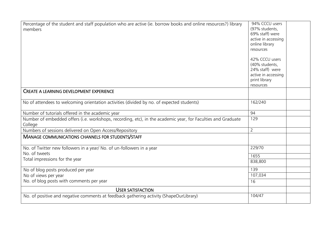| Percentage of the student and staff population who are active (ie. borrow books and online resources?) library | 94% CCCU users      |
|----------------------------------------------------------------------------------------------------------------|---------------------|
| members                                                                                                        | (97% students,      |
|                                                                                                                | 69% staff) were     |
|                                                                                                                | active in accessing |
|                                                                                                                | online library      |
|                                                                                                                | resources           |
|                                                                                                                | 42% CCCU users      |
|                                                                                                                | (40% students,      |
|                                                                                                                | 24% staff) were     |
|                                                                                                                | active in accessing |
|                                                                                                                | print library       |
|                                                                                                                | resources           |
| <b>CREATE A LEARNING DEVELOPMENT EXPERIENCE</b>                                                                |                     |
|                                                                                                                |                     |
| No of attendees to welcoming orientation activities (divided by no. of expected students)                      | 162/240             |
|                                                                                                                |                     |
| Number of tutorials offered in the academic year                                                               | 94                  |
| Number of embedded offers (i.e. workshops, recording, etc), in the academic year, for Faculties and Graduate   | 129                 |
| College                                                                                                        |                     |
| Numbers of sessions delivered on Open Access/Repository                                                        | $\overline{2}$      |
| <b>MANAGE COMMUNICATIONS CHANNELS FOR STUDENTS/STAFF</b>                                                       |                     |
|                                                                                                                |                     |
| No. of Twitter new followers in a year/ No. of un-followers in a year                                          | 229/70              |
| No. of tweets                                                                                                  | 1655                |
| Total impressions for the year                                                                                 | 838,800             |
|                                                                                                                |                     |
| No of blog posts produced per year                                                                             | 139                 |
| No of views per year                                                                                           | 107,034             |
| No. of blog posts with comments per year                                                                       | 16                  |
| <b>USER SATISFACTION</b>                                                                                       |                     |
| No. of positive and negative comments at feedback gathering activity (ShapeOurLibrary)                         | 104/47              |
|                                                                                                                |                     |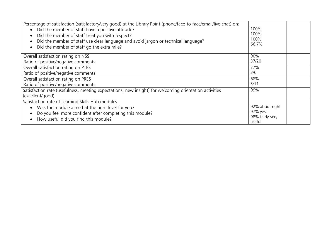| Percentage of satisfaction (satisfactory/very good) at the Library Point (phone/face-to-face/email/live chat) on:<br>• Did the member of staff have a positive attitude?<br>Did the member of staff treat you with respect?<br>$\bullet$<br>Did the member of staff use clear language and avoid jargon or technical language?<br>$\bullet$<br>Did the member of staff go the extra mile?<br>$\bullet$ | 100%<br>100%<br>100%<br>66.7% |
|--------------------------------------------------------------------------------------------------------------------------------------------------------------------------------------------------------------------------------------------------------------------------------------------------------------------------------------------------------------------------------------------------------|-------------------------------|
| Overall satisfaction rating on NSS                                                                                                                                                                                                                                                                                                                                                                     | 90%                           |
| Ratio of positive/negative comments                                                                                                                                                                                                                                                                                                                                                                    | 37/20                         |
| Overall satisfaction rating on PTES                                                                                                                                                                                                                                                                                                                                                                    | 77%                           |
| Ratio of positive/negative comments                                                                                                                                                                                                                                                                                                                                                                    | 3/6                           |
| Overall satisfaction rating on PRES                                                                                                                                                                                                                                                                                                                                                                    | 68%                           |
| Ratio of positive/negative comments                                                                                                                                                                                                                                                                                                                                                                    | 3/11                          |
| Satisfaction rate (usefulness, meeting expectations, new insight) for welcoming orientation activities                                                                                                                                                                                                                                                                                                 | 99%                           |
| (excellent/good)                                                                                                                                                                                                                                                                                                                                                                                       |                               |
| Satisfaction rate of Learning Skills Hub modules                                                                                                                                                                                                                                                                                                                                                       |                               |
| Was the module aimed at the right level for you?<br>$\bullet$                                                                                                                                                                                                                                                                                                                                          | 92% about right               |
| Do you feel more confident after completing this module?<br>$\bullet$                                                                                                                                                                                                                                                                                                                                  | 97% yes<br>98% fairly-very    |
| How useful did you find this module?                                                                                                                                                                                                                                                                                                                                                                   | useful                        |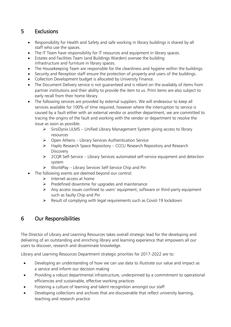# 5 Exclusions

- Responsibility for Health and Safety and safe working in library buildings is shared by all staff who use the spaces.
- The IT Team have responsibility for IT resources and equipment in library spaces.
- Estates and Facilities Team (and Buildings Warden) oversee the building infrastructure and furniture in library spaces.
- The Housekeeping Team are responsible for the cleanliness and hygiene within the buildings.
- Security and Reception staff ensure the protection of property and users of the buildings.
- Collection Development budget is allocated by University Finance.
- The Document Delivery service is not guaranteed and is reliant on the availably of items from partner institutions and their ability to provide the item to us. Print items are also subject to early recall from their home library.
- The following services are provided by external suppliers. We will endeavour to keep all services available for 100% of time required, however where the interruption to service is caused by a fault either with an external vendor or another department, we are committed to tracing the origins of the fault and working with the vendor or department to resolve the issue as soon as possible.
	- $\triangleright$  SirsiDynix ULMS Unified Library Management System giving access to library resources
	- ➢ Open Athens Library Services Authentication Service
	- ➢ Haplo Research Space Repository CCCU Research Repository and Research **Discovery**
	- ➢ 2CQR Self-Service Library Services automated self-service equipment and detection system
	- ➢ WorldPay Library Services Self-Service Chip and Pin
- The following events are deemed beyond our control:
	- ➢ Internet access at home
	- $\triangleright$  Predefined downtime for upgrades and maintenance
	- ➢ Any access issues confined to users' equipment, software or third-party equipment such as faulty Chip and Pin
	- ➢ Result of complying with legal requirements such as Covid-19 lockdown

#### 6 Our Responsibilities

The Director of Library and Learning Resources takes overall strategic lead for the developing and delivering of an outstanding and enriching library and learning experience that empowers all our users to discover, research and disseminate knowledge.

Library and Learning Resources Department strategic priorities for 2017-2022 are to:

- Developing an understanding of how we can use data to illustrate our value and impact as a service and inform our decision making
- Providing a robust departmental infrastructure, underpinned by a commitment to operational efficiencies and sustainable, effective working practices
- Fostering a culture of learning and talent recognition amongst our staff
- Developing collections and archives that are discoverable that reflect university learning, teaching and research practice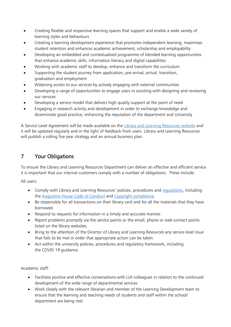- Creating flexible and responsive learning spaces that support and enable a wide variety of learning styles and behaviours
- Creating a learning development experience that promotes independent learning, maximises student retention and enhances academic achievement, scholarship and employability
- Developing an embedded and contextualised programme of blended learning opportunities that enhance academic skills, information literacy and digital capabilities
- Working with academic staff to develop, enhance and transform the curriculum
- Supporting the student journey from application, pre-arrival, arrival, transition, graduation and employment
- Widening access to our services by actively engaging with external communities
- Developing a range of opportunities to engage users in assisting with designing and reviewing our services
- Developing a service model that delivers high quality support at the point of need
- Engaging in research activity and development in order to exchange knowledge and disseminate good practice, enhancing the reputation of the department and University

A Service Level Agreement will be made available on the [Library and Learning Resources website](https://www.canterbury.ac.uk/library/about-us/about-us.aspx) and it will be updated regularly and in the light of feedback from users. Library and Learning Resources will publish a rolling five year strategy and an annual business plan.

# 7 Your Obligations

To ensure the Library and Learning Resources Department can deliver an effective and efficient service it is important that our internal customers comply with a number of obligations. These include:

All users:

- Comply with Library and Learning Resources' policies, procedures and [regulations,](https://www.canterbury.ac.uk/library/docs/library-regulations-2010.pdf) including the [Augustine House Code of Conduct](https://www.canterbury.ac.uk/library/docs/code-of-conduct.pdf) and [Copyright compliance.](https://www.canterbury.ac.uk/library/regulations-and-policies/copyright.aspx)
- Be responsible for all transactions on their library card and for all the materials that they have borrowed.
- Respond to requests for information in a timely and accurate manner.
- Report problems promptly via the service points or the email, phone or web contact points listed on the library websites.
- Bring to the attention of the Director of Library and Learning Resources any service level issue that fails to be met in order that appropriate action can be taken.
- Act within the university policies, procedures and regulatory framework, including the COVID 19 guidance.

Academic staff:

- Facilitate positive and effective conversations with LLR colleagues in relation to the continued development of the wide range of departmental services
- Work closely with the relevant librarian and member of the Learning Development team to ensure that the learning and teaching needs of students and staff within the school/ department are being met.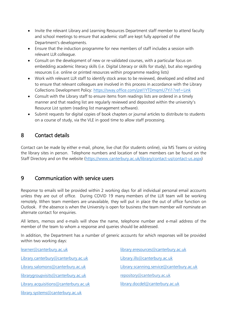- Invite the relevant Library and Learning Resources Department staff member to attend faculty and school meetings to ensure that academic staff are kept fully apprised of the Department's developments.
- Ensure that the induction programme for new members of staff includes a session with relevant LLR colleague.
- Consult on the development of new or re-validated courses, with a particular focus on embedding academic literacy skills (i.e. Digital Literacy or skills for study), but also regarding resources (i.e. online or printed resources within programme reading lists)
- Work with relevant LLR staff to identify stock areas to be reviewed, developed and edited and to ensure that relevant colleagues are involved in this process in accordance with the Library Collections Development Policy:<https://sway.office.com/jzeI1YTDmqmU7Yi1?ref=Link>
- Consult with the Library staff to ensure items from readings lists are ordered in a timely manner and that reading list are regularly reviewed and deposited within the university's Resource List system (reading list management software).
- Submit requests for digital copies of book chapters or journal articles to distribute to students on a course of study, via the VLE in good time to allow staff processing.

# 8 Contact details

Contact can be made by either e-mail, phone, live chat (for students online), via MS Teams or visiting the library sites in person. Telephone numbers and location of team members can be found on the Staff Directory and on the website [\(https://www.canterbury.ac.uk/library/contact-us/contact-us.aspx\)](https://www.canterbury.ac.uk/library/contact-us/contact-us.aspx)

### 9 Communication with service users

Response to emails will be provided within 2 working days for all individual personal email accounts unless they are out of office. During COVID 19 many members of the LLR team will be working remotely. When team members are unavailable, they will put in place the out of office function on Outlook. If the absence is when the University is open for business the team member will nominate an alternate contact for enquiries.

All letters, memos and e-mails will show the name, telephone number and e-mail address of the member of the team to whom a response and queries should be addressed.

In addition, the Department has a number of generic accounts for which responses will be provided within two working days:

[learner@canterbury.ac.uk](mailto:learner@canterbury.ac.uk) [Library.canterbury@canterbury.ac.uk](mailto:Library.canterbury@canterbury.ac.uk) [Library.salomons@canterbury.ac.uk](mailto:Library.salomons@canterbury.ac.uk) [librarygroupvisits@canterbury.ac.uk](mailto:librarygroupvisits@canterbury.ac.uk) [Library.acquisitions@canterbury.ac.uk](mailto:Library.acquisitions@canterbury.ac.uk)

[library.systems@canterbury.ac.uk](mailto:library.systems@canterbury.ac.uk)

[library.eresources@canterbury.ac.uk](mailto:library.eresources@canterbury.ac.uk) [Library.ills@canterbury.ac.uk](mailto:Library.ills@canterbury.ac.uk) [Library.scanning.service@canterbury.ac.uk](file://///stafs-nhr-01.ccad.canterbury.ac.uk/lp353/Documents/Administration/Contacts/Library.scanning.service@canterbury.ac.uk) [repository@canterbury.ac.uk](mailto:repository@canterbury.ac.uk) [library.docdel@canterbury.ac.uk](library.docdel@canterbury.ac.uk%0c)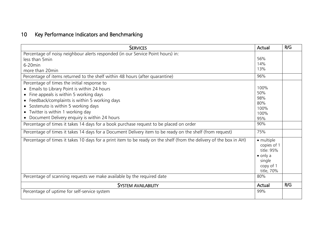# 10 Key Performance Indicators and Benchmarking

| <b>SERVICES</b>                                                                                                     | Actual                                                                                           | R/G |
|---------------------------------------------------------------------------------------------------------------------|--------------------------------------------------------------------------------------------------|-----|
| Percentage of noisy neighbour alerts responded (in our Service Point hours) in:                                     |                                                                                                  |     |
| less than 5min                                                                                                      | 56%                                                                                              |     |
| $6-20$ min                                                                                                          | 14%                                                                                              |     |
| more than 20min                                                                                                     | 13%                                                                                              |     |
| Percentage of items returned to the shelf within 48 hours (after quarantine)                                        | 96%                                                                                              |     |
| Percentage of times the initial response to                                                                         |                                                                                                  |     |
| • Emails to Library Point is within 24 hours                                                                        | 100%                                                                                             |     |
| • Fine appeals is within 5 working days                                                                             | 50%                                                                                              |     |
| • Feedback/complaints is within 5 working days                                                                      | 98%<br>80%                                                                                       |     |
| • Sostenuto is within 5 working days                                                                                | 100%                                                                                             |     |
| • Twitter is within 1 working day                                                                                   | 100%                                                                                             |     |
| Document Delivery enquiry is within 24 hours                                                                        | 95%                                                                                              |     |
| Percentage of times it takes 14 days for a book purchase request to be placed on order                              | 90%                                                                                              |     |
| Percentage of times it takes 14 days for a Document Delivery item to be ready on the shelf (from request)           | 75%                                                                                              |     |
| Percentage of times it takes 10 days for a print item to be ready on the shelf (from the delivery of the box in AH) | • multiple<br>copies of 1<br>title: 95%<br>$\bullet$ only a<br>single<br>copy of 1<br>title, 70% |     |
| Percentage of scanning requests we make available by the required date                                              | 80%                                                                                              |     |
| <b>SYSTEM AVAILABILITY</b>                                                                                          | Actual                                                                                           | R/G |
| Percentage of uptime for self-service system                                                                        | 99%                                                                                              |     |